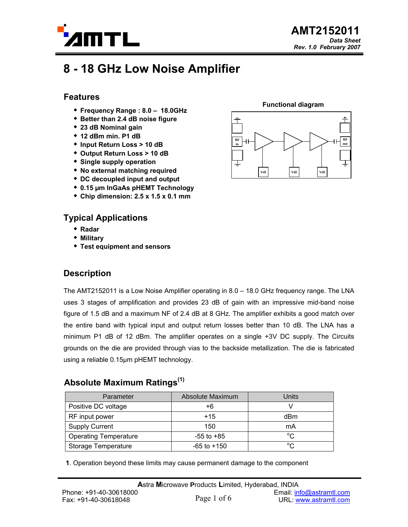

# **8 - 18 GHz Low Noise Amplifier**

### **Features**

- **Frequency Range : 8.0 18.0GHz**
- **Better than 2.4 dB noise figure**
- **23 dB Nominal gain**
- **12 dBm min. P1 dB**
- **Input Return Loss > 10 dB**
- **Output Return Loss > 10 dB**
- **Single supply operation**
- **No external matching required**
- **DC decoupled input and output**
- **0.15 µm InGaAs pHEMT Technology**
- **Chip dimension: 2.5 x 1.5 x 0.1 mm**

### **Typical Applications**

- **Radar**
- **Military**
- **Test equipment and sensors**

## **Description**

The AMT2152011 is a Low Noise Amplifier operating in 8.0 – 18.0 GHz frequency range. The LNA uses 3 stages of amplification and provides 23 dB of gain with an impressive mid-band noise figure of 1.5 dB and a maximum NF of 2.4 dB at 8 GHz. The amplifier exhibits a good match over the entire band with typical input and output return losses better than 10 dB. The LNA has a minimum P1 dB of 12 dBm. The amplifier operates on a single +3V DC supply. The Circuits grounds on the die are provided through vias to the backside metallization. The die is fabricated using a reliable 0.15µm pHEMT technology.

# **Absolute Maximum Ratings(1)**

| Parameter                    | Absolute Maximum | Units        |
|------------------------------|------------------|--------------|
| Positive DC voltage          | +6               |              |
| RF input power               | $+15$            | dBm          |
| <b>Supply Current</b>        | 150              | mA           |
| <b>Operating Temperature</b> | $-55$ to $+85$   | $^{\circ}C$  |
| <b>Storage Temperature</b>   | $-65$ to $+150$  | $^{\circ}$ C |

**1**. Operation beyond these limits may cause permanent damage to the component

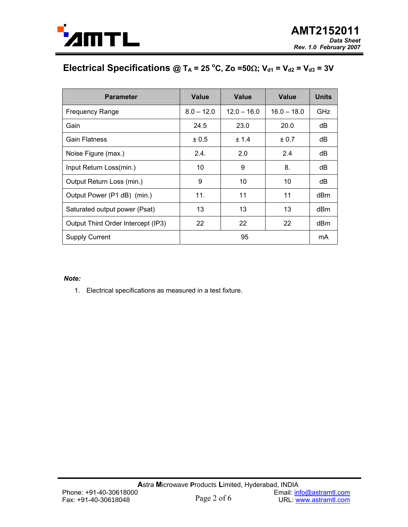

# Electrical Specifications @ T<sub>A</sub> = 25 °C, Zo =50 $\Omega$ ; V<sub>d1</sub> = V<sub>d2</sub> = V<sub>d3</sub> = 3V

| <b>Parameter</b>                   | Value        | Value         | <b>Value</b>  | <b>Units</b>    |
|------------------------------------|--------------|---------------|---------------|-----------------|
| <b>Frequency Range</b>             | $8.0 - 12.0$ | $12.0 - 16.0$ | $16.0 - 18.0$ | <b>GHz</b>      |
| Gain                               | 24.5         | 23.0          | 20.0          | dB              |
| Gain Flatness                      | ± 0.5        | ± 1.4         | ± 0.7         | dB              |
| Noise Figure (max.)                | 2.4.         | 2.0           | 2.4           | dB              |
| Input Return Loss(min.)            | 10           | 9             | 8.            | dB              |
| Output Return Loss (min.)          | 9            | 10            | 10            | dB              |
| Output Power (P1 dB) (min.)        | 11.          | 11            | 11            | dB <sub>m</sub> |
| Saturated output power (Psat)      | 13           | 13            | 13            | dBm             |
| Output Third Order Intercept (IP3) | 22           | 22            | 22            | dBm             |
| <b>Supply Current</b>              | 95           |               |               | mA              |

#### *Note:*

1. Electrical specifications as measured in a test fixture.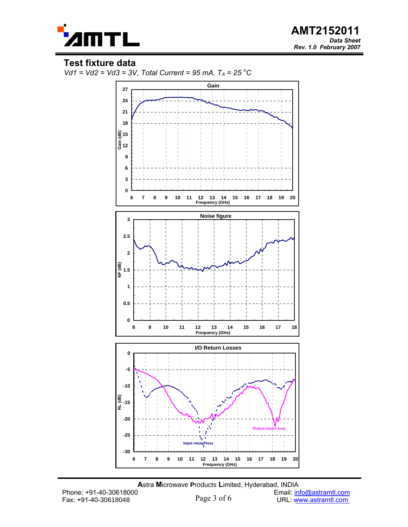

 **AMT2152011**  *Data Sheet Rev. 1.0 February 2007*

#### **Test fixture data**



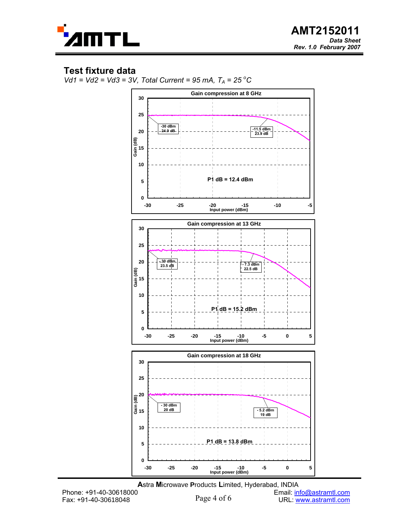

### **Test fixture data**





**A**stra **M**icrowave **P**roducts **L**imited, Hyderabad, INDIA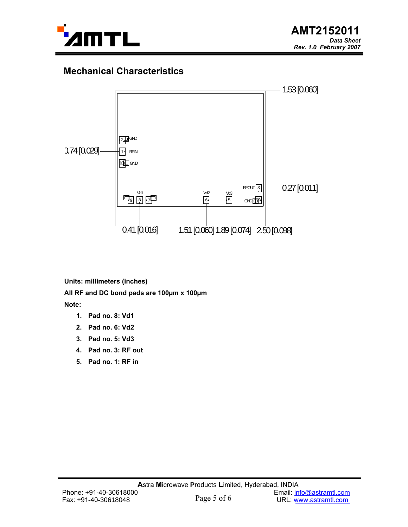

# **Mechanical Characteristics**



**Units: millimeters (inches) All RF and DC bond pads are 100µm x 100µm Note:** 

- **1. Pad no. 8: Vd1**
- **2. Pad no. 6: Vd2**
- **3. Pad no. 5: Vd3**
- **4. Pad no. 3: RF out**
- **5. Pad no. 1: RF in**